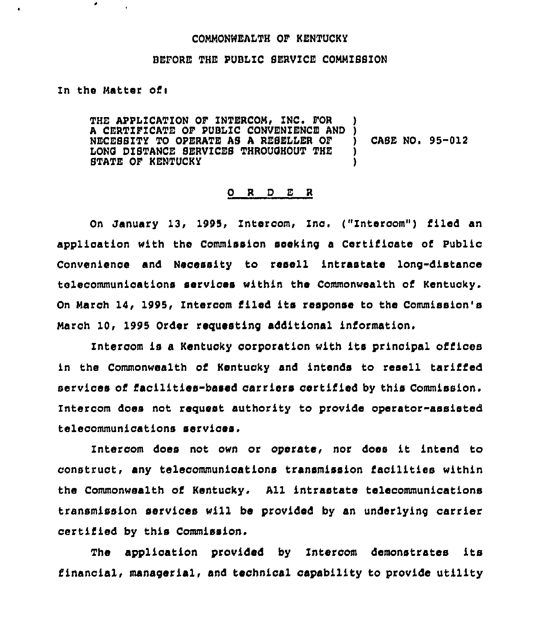## COMMONWEAITH OF KENTUCKY

## BEFORE THE PUBLIC SERVICE COMMISSION

In the Matter of:

۰

 $\bullet$ 

THE APPLICATION OF INTERCOM, INC. FOR A CERTZFZCATE OF PUBLZC CONVENIENCE AND CASE NO. 95-012 NECESSITY TO OPERATE AS A RESELLER OF Y LON6 DISTANCE SERVZCES THROUOHOUT THE STATE OF KENTUCKY

## O R D E R

On January 13, 1995, Intercom, Znc, ("Intercom") filed an application with the Commission seeking a Certificate of Public Convenience and Necessity to resell intrastate long-distance telecommunioations services within the Commonwealth of Kentucky. On March 14, 1995, Intercom filed its response to the Commission's March 10, 1995 Order requesting additional information.

Intercom is a Kentucky corporation with its principal offices in the Commonwealth of Kentucky and intends to resell tariffed services of facilities-based carriers certified by this Commission. Intercom does not reguest authority to provide operator-assisted telecommunications services.

Intercom does not own or operate, nor does it intend to construct, any telecommunications transmission facilities within the Commonwealth of Kentucky. All intrastate telecommunications transmission services will be provided by an underlying carrier certified by this Commission.

The application provided by Intercom demonstrates ita financial, managerial, and technical capability to provide utility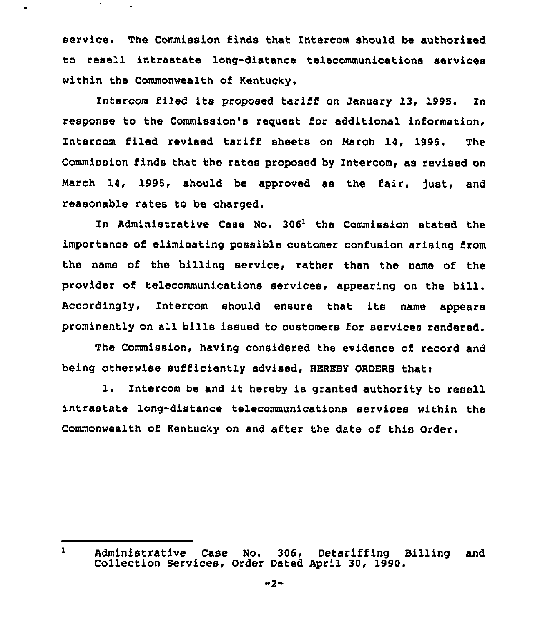service, The Commission finds that Intercom should be authorised to resell intrastate long-distance telecommunications services within the Commonwealth of Kentucky.

 $\bullet$ 

Intercom filed its proposed tariff on January 13, 1995. In response to the Commission's request for additional information, Intercom filed revised tariff sheets on March 14, 1995. The Commission finds that the rates proposed by Intercom, as revised on March 14, 1995, should be approved as the fair, just, and reasonable rates to be charged.

In Administrative Case No. 306<sup>1</sup> the Commission stated the importance of eliminating possible customer confusion arising from the name of the billing service, rather than the name of the provider of telecommunications services, appearing on the bill. Accordingly, Intercom should ensure that its name appears prominently on all bills issued to customers for services rendered.

The Commission, having considered the evidence of record and being otherwise sufficiently advised, HEREBY ORDERS thati

l. Intercom be and it hereby is granted authority to resell intrastate long-distance telecommunications services within the Commonwealth of Kentucky on and after the date of this Order.

 $\mathbf{1}$ Administrative Case No. 306, Detariffing Billing and Collection Services, Order Dated April 30, 1990.